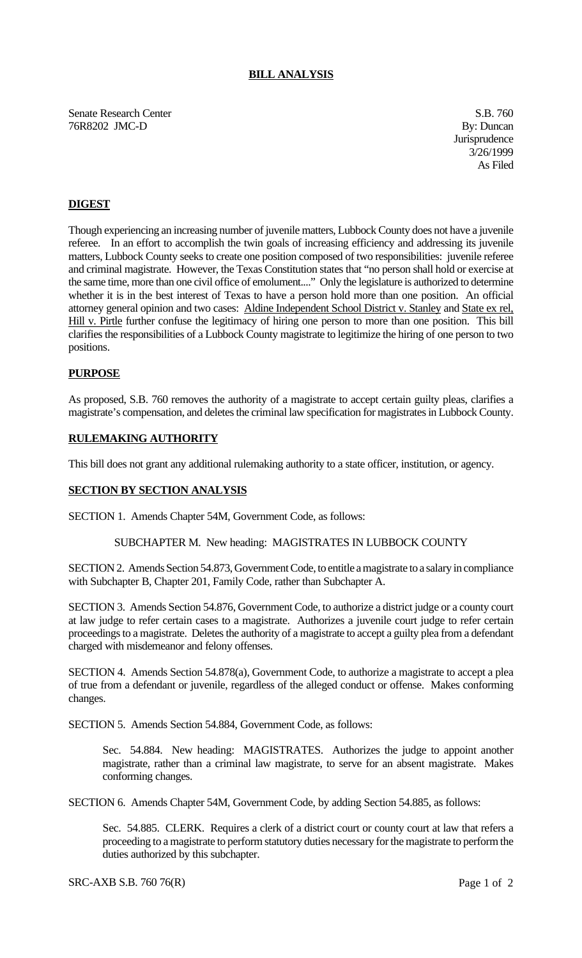## **BILL ANALYSIS**

Senate Research Center S.B. 760 76R8202 JMC-D By: Duncan

**Jurisprudence** 3/26/1999 As Filed

# **DIGEST**

Though experiencing an increasing number of juvenile matters, Lubbock County does not have a juvenile referee. In an effort to accomplish the twin goals of increasing efficiency and addressing its juvenile matters, Lubbock County seeks to create one position composed of two responsibilities: juvenile referee and criminal magistrate. However, the Texas Constitution states that "no person shall hold or exercise at the same time, more than one civil office of emolument...." Only the legislature is authorized to determine whether it is in the best interest of Texas to have a person hold more than one position. An official attorney general opinion and two cases: Aldine Independent School District v. Stanley and State ex rel, Hill v. Pirtle further confuse the legitimacy of hiring one person to more than one position. This bill clarifies the responsibilities of a Lubbock County magistrate to legitimize the hiring of one person to two positions.

### **PURPOSE**

As proposed, S.B. 760 removes the authority of a magistrate to accept certain guilty pleas, clarifies a magistrate's compensation, and deletes the criminal law specification for magistrates in Lubbock County.

### **RULEMAKING AUTHORITY**

This bill does not grant any additional rulemaking authority to a state officer, institution, or agency.

#### **SECTION BY SECTION ANALYSIS**

SECTION 1. Amends Chapter 54M, Government Code, as follows:

### SUBCHAPTER M. New heading: MAGISTRATES IN LUBBOCK COUNTY

SECTION 2. Amends Section 54.873, Government Code, to entitle a magistrate to a salary in compliance with Subchapter B, Chapter 201, Family Code, rather than Subchapter A.

SECTION 3. Amends Section 54.876, Government Code, to authorize a district judge or a county court at law judge to refer certain cases to a magistrate. Authorizes a juvenile court judge to refer certain proceedings to a magistrate. Deletes the authority of a magistrate to accept a guilty plea from a defendant charged with misdemeanor and felony offenses.

SECTION 4. Amends Section 54.878(a), Government Code, to authorize a magistrate to accept a plea of true from a defendant or juvenile, regardless of the alleged conduct or offense. Makes conforming changes.

SECTION 5. Amends Section 54.884, Government Code, as follows:

Sec. 54.884. New heading: MAGISTRATES. Authorizes the judge to appoint another magistrate, rather than a criminal law magistrate, to serve for an absent magistrate. Makes conforming changes.

SECTION 6. Amends Chapter 54M, Government Code, by adding Section 54.885, as follows:

Sec. 54.885. CLERK. Requires a clerk of a district court or county court at law that refers a proceeding to a magistrate to perform statutory duties necessary for the magistrate to perform the duties authorized by this subchapter.